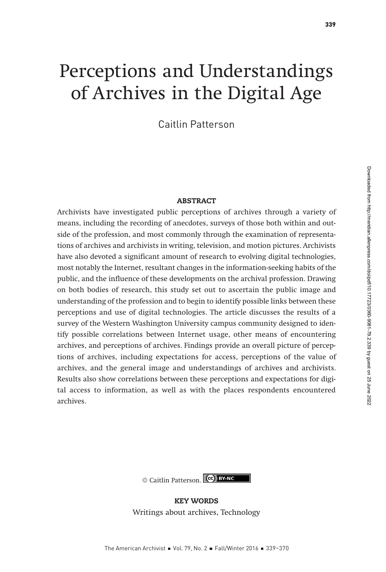# Perceptions and Understandings of Archives in the Digital Age

Caitlin Patterson

#### **ABSTRACT**

Archivists have investigated public perceptions of archives through a variety of means, including the recording of anecdotes, surveys of those both within and outside of the profession, and most commonly through the examination of representations of archives and archivists in writing, television, and motion pictures. Archivists have also devoted a significant amount of research to evolving digital technologies, most notably the Internet, resultant changes in the information-seeking habits of the public, and the influence of these developments on the archival profession. Drawing on both bodies of research, this study set out to ascertain the public image and understanding of the profession and to begin to identify possible links between these perceptions and use of digital technologies. The article discusses the results of a survey of the Western Washington University campus community designed to identify possible correlations between Internet usage, other means of encountering archives, and perceptions of archives. Findings provide an overall picture of perceptions of archives, including expectations for access, perceptions of the value of archives, and the general image and understandings of archives and archivists. Results also show correlations between these perceptions and expectations for digital access to information, as well as with the places respondents encountered archives.

© Caitlin Patterson. (cc) BY-NC

KEY WORDS Writings about archives, Technology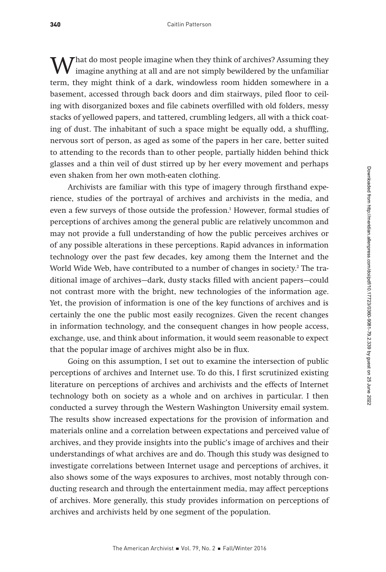What do most people imagine when they think of archives? Assuming they imagine anything at all and are not simply bewildered by the unfamiliar term they might think of a dark window we may hidden around we in term, they might think of a dark, windowless room hidden somewhere in a basement, accessed through back doors and dim stairways, piled floor to ceiling with disorganized boxes and file cabinets overfilled with old folders, messy stacks of yellowed papers, and tattered, crumbling ledgers, all with a thick coating of dust. The inhabitant of such a space might be equally odd, a shuffling, nervous sort of person, as aged as some of the papers in her care, better suited to attending to the records than to other people, partially hidden behind thick glasses and a thin veil of dust stirred up by her every movement and perhaps even shaken from her own moth-eaten clothing.

Archivists are familiar with this type of imagery through firsthand experience, studies of the portrayal of archives and archivists in the media, and even a few surveys of those outside the profession.<sup>1</sup> However, formal studies of perceptions of archives among the general public are relatively uncommon and may not provide a full understanding of how the public perceives archives or of any possible alterations in these perceptions. Rapid advances in information technology over the past few decades, key among them the Internet and the World Wide Web, have contributed to a number of changes in society.<sup>2</sup> The traditional image of archives—dark, dusty stacks filled with ancient papers—could not contrast more with the bright, new technologies of the information age. Yet, the provision of information is one of the key functions of archives and is certainly the one the public most easily recognizes. Given the recent changes in information technology, and the consequent changes in how people access, exchange, use, and think about information, it would seem reasonable to expect that the popular image of archives might also be in flux.

Going on this assumption, I set out to examine the intersection of public perceptions of archives and Internet use. To do this, I first scrutinized existing literature on perceptions of archives and archivists and the effects of Internet technology both on society as a whole and on archives in particular. I then conducted a survey through the Western Washington University email system. The results show increased expectations for the provision of information and materials online and a correlation between expectations and perceived value of archives, and they provide insights into the public's image of archives and their understandings of what archives are and do. Though this study was designed to investigate correlations between Internet usage and perceptions of archives, it also shows some of the ways exposures to archives, most notably through conducting research and through the entertainment media, may affect perceptions of archives. More generally, this study provides information on perceptions of archives and archivists held by one segment of the population.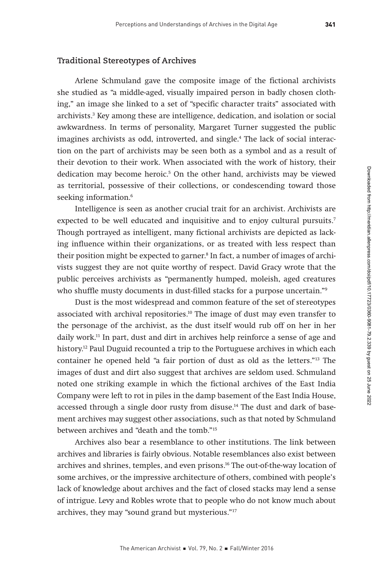#### **Traditional Stereotypes of Archives**

Arlene Schmuland gave the composite image of the fictional archivists she studied as "a middle-aged, visually impaired person in badly chosen clothing," an image she linked to a set of "specific character traits" associated with archivists.3 Key among these are intelligence, dedication, and isolation or social awkwardness. In terms of personality, Margaret Turner suggested the public imagines archivists as odd, introverted, and single.4 The lack of social interaction on the part of archivists may be seen both as a symbol and as a result of their devotion to their work. When associated with the work of history, their dedication may become heroic.<sup>5</sup> On the other hand, archivists may be viewed as territorial, possessive of their collections, or condescending toward those seeking information.<sup>6</sup>

Intelligence is seen as another crucial trait for an archivist. Archivists are expected to be well educated and inquisitive and to enjoy cultural pursuits.7 Though portrayed as intelligent, many fictional archivists are depicted as lacking influence within their organizations, or as treated with less respect than their position might be expected to garner.<sup>8</sup> In fact, a number of images of archivists suggest they are not quite worthy of respect. David Gracy wrote that the public perceives archivists as "permanently humped, moleish, aged creatures who shuffle musty documents in dust-filled stacks for a purpose uncertain."<sup>9</sup>

Dust is the most widespread and common feature of the set of stereotypes associated with archival repositories.10 The image of dust may even transfer to the personage of the archivist, as the dust itself would rub off on her in her daily work.11 In part, dust and dirt in archives help reinforce a sense of age and history.<sup>12</sup> Paul Duguid recounted a trip to the Portuguese archives in which each container he opened held "a fair portion of dust as old as the letters."13 The images of dust and dirt also suggest that archives are seldom used. Schmuland noted one striking example in which the fictional archives of the East India Company were left to rot in piles in the damp basement of the East India House, accessed through a single door rusty from disuse.<sup>14</sup> The dust and dark of basement archives may suggest other associations, such as that noted by Schmuland between archives and "death and the tomb."15

Archives also bear a resemblance to other institutions. The link between archives and libraries is fairly obvious. Notable resemblances also exist between archives and shrines, temples, and even prisons.<sup>16</sup> The out-of-the-way location of some archives, or the impressive architecture of others, combined with people's lack of knowledge about archives and the fact of closed stacks may lend a sense of intrigue. Levy and Robles wrote that to people who do not know much about archives, they may "sound grand but mysterious."17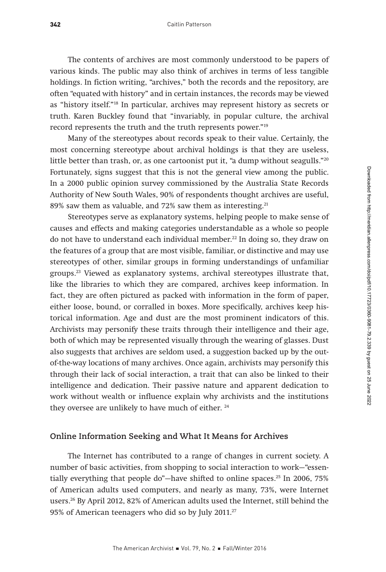The contents of archives are most commonly understood to be papers of various kinds. The public may also think of archives in terms of less tangible holdings. In fiction writing, "archives," both the records and the repository, are often "equated with history" and in certain instances, the records may be viewed as "history itself."18 In particular, archives may represent history as secrets or truth. Karen Buckley found that "invariably, in popular culture, the archival record represents the truth and the truth represents power."19

Many of the stereotypes about records speak to their value. Certainly, the most concerning stereotype about archival holdings is that they are useless, little better than trash, or, as one cartoonist put it, "a dump without seagulls."<sup>20</sup> Fortunately, signs suggest that this is not the general view among the public. In a 2000 public opinion survey commissioned by the Australia State Records Authority of New South Wales, 90% of respondents thought archives are useful, 89% saw them as valuable, and 72% saw them as interesting.<sup>21</sup>

Stereotypes serve as explanatory systems, helping people to make sense of causes and effects and making categories understandable as a whole so people do not have to understand each individual member. $^{22}$  In doing so, they draw on the features of a group that are most visible, familiar, or distinctive and may use stereotypes of other, similar groups in forming understandings of unfamiliar groups.23 Viewed as explanatory systems, archival stereotypes illustrate that, like the libraries to which they are compared, archives keep information. In fact, they are often pictured as packed with information in the form of paper, either loose, bound, or corralled in boxes. More specifically, archives keep historical information. Age and dust are the most prominent indicators of this. Archivists may personify these traits through their intelligence and their age, both of which may be represented visually through the wearing of glasses. Dust also suggests that archives are seldom used, a suggestion backed up by the outof-the-way locations of many archives. Once again, archivists may personify this through their lack of social interaction, a trait that can also be linked to their intelligence and dedication. Their passive nature and apparent dedication to work without wealth or influence explain why archivists and the institutions they oversee are unlikely to have much of either.<sup>24</sup>

#### **Online Information Seeking and What It Means for Archives**

The Internet has contributed to a range of changes in current society. A number of basic activities, from shopping to social interaction to work—"essentially everything that people do"—have shifted to online spaces.25 In 2006, 75% of American adults used computers, and nearly as many, 73%, were Internet users.26 By April 2012, 82% of American adults used the Internet, still behind the 95% of American teenagers who did so by July 2011.27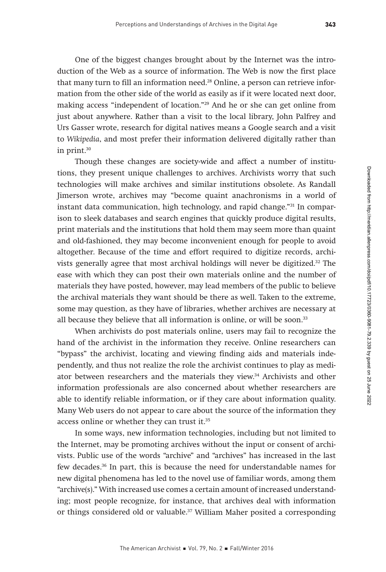One of the biggest changes brought about by the Internet was the introduction of the Web as a source of information. The Web is now the first place that many turn to fill an information need.28 Online, a person can retrieve information from the other side of the world as easily as if it were located next door, making access "independent of location."29 And he or she can get online from just about anywhere. Rather than a visit to the local library, John Palfrey and Urs Gasser wrote, research for digital natives means a Google search and a visit to Wikipedia, and most prefer their information delivered digitally rather than in print.30

Though these changes are society-wide and affect a number of institutions, they present unique challenges to archives. Archivists worry that such technologies will make archives and similar institutions obsolete. As Randall Jimerson wrote, archives may "become quaint anachronisms in a world of instant data communication, high technology, and rapid change."31 In comparison to sleek databases and search engines that quickly produce digital results, print materials and the institutions that hold them may seem more than quaint and old-fashioned, they may become inconvenient enough for people to avoid altogether. Because of the time and effort required to digitize records, archivists generally agree that most archival holdings will never be digitized.32 The ease with which they can post their own materials online and the number of materials they have posted, however, may lead members of the public to believe the archival materials they want should be there as well. Taken to the extreme, some may question, as they have of libraries, whether archives are necessary at all because they believe that all information is online, or will be soon.<sup>33</sup>

When archivists do post materials online, users may fail to recognize the hand of the archivist in the information they receive. Online researchers can "bypass" the archivist, locating and viewing finding aids and materials independently, and thus not realize the role the archivist continues to play as mediator between researchers and the materials they view.34 Archivists and other information professionals are also concerned about whether researchers are able to identify reliable information, or if they care about information quality. Many Web users do not appear to care about the source of the information they access online or whether they can trust it.35

In some ways, new information technologies, including but not limited to the Internet, may be promoting archives without the input or consent of archivists. Public use of the words "archive" and "archives" has increased in the last few decades.36 In part, this is because the need for understandable names for new digital phenomena has led to the novel use of familiar words, among them "archive(s)." With increased use comes a certain amount of increased understanding; most people recognize, for instance, that archives deal with information or things considered old or valuable.37 William Maher posited a corresponding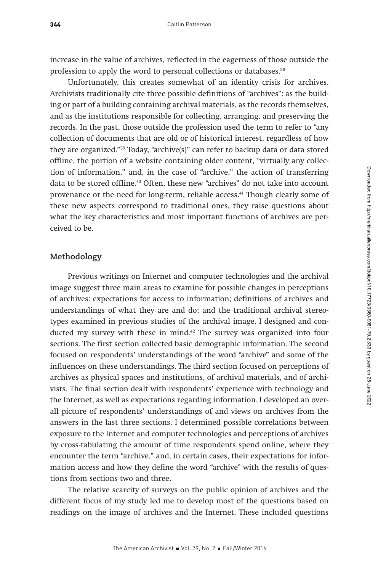increase in the value of archives, reflected in the eagerness of those outside the profession to apply the word to personal collections or databases.<sup>38</sup>

Unfortunately, this creates somewhat of an identity crisis for archives. Archivists traditionally cite three possible definitions of "archives": as the building or part of a building containing archival materials, as the records themselves, and as the institutions responsible for collecting, arranging, and preserving the records. In the past, those outside the profession used the term to refer to "any collection of documents that are old or of historical interest, regardless of how they are organized."39 Today, "archive(s)" can refer to backup data or data stored offline, the portion of a website containing older content, "virtually any collection of information," and, in the case of "archive," the action of transferring data to be stored offline.<sup>40</sup> Often, these new "archives" do not take into account provenance or the need for long-term, reliable access.<sup>41</sup> Though clearly some of these new aspects correspond to traditional ones, they raise questions about what the key characteristics and most important functions of archives are perceived to be.

## **Methodology**

Previous writings on Internet and computer technologies and the archival image suggest three main areas to examine for possible changes in perceptions of archives: expectations for access to information; definitions of archives and understandings of what they are and do; and the traditional archival stereotypes examined in previous studies of the archival image. I designed and conducted my survey with these in mind. $42$  The survey was organized into four sections. The first section collected basic demographic information. The second focused on respondents' understandings of the word "archive" and some of the influences on these understandings. The third section focused on perceptions of archives as physical spaces and institutions, of archival materials, and of archivists. The final section dealt with respondents' experience with technology and the Internet, as well as expectations regarding information. I developed an overall picture of respondents' understandings of and views on archives from the answers in the last three sections. I determined possible correlations between exposure to the Internet and computer technologies and perceptions of archives by cross-tabulating the amount of time respondents spend online, where they encounter the term "archive," and, in certain cases, their expectations for information access and how they define the word "archive" with the results of questions from sections two and three.

The relative scarcity of surveys on the public opinion of archives and the different focus of my study led me to develop most of the questions based on readings on the image of archives and the Internet. These included questions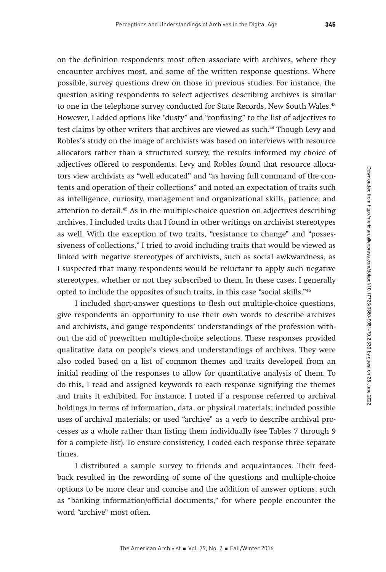on the definition respondents most often associate with archives, where they encounter archives most, and some of the written response questions. Where possible, survey questions drew on those in previous studies. For instance, the question asking respondents to select adjectives describing archives is similar to one in the telephone survey conducted for State Records, New South Wales.<sup>43</sup> However, I added options like "dusty" and "confusing" to the list of adjectives to test claims by other writers that archives are viewed as such.44 Though Levy and Robles's study on the image of archivists was based on interviews with resource allocators rather than a structured survey, the results informed my choice of adjectives offered to respondents. Levy and Robles found that resource allocators view archivists as "well educated" and "as having full command of the contents and operation of their collections" and noted an expectation of traits such as intelligence, curiosity, management and organizational skills, patience, and attention to detail.45 As in the multiple-choice question on adjectives describing archives, I included traits that I found in other writings on archivist stereotypes as well. With the exception of two traits, "resistance to change" and "possessiveness of collections," I tried to avoid including traits that would be viewed as linked with negative stereotypes of archivists, such as social awkwardness, as I suspected that many respondents would be reluctant to apply such negative stereotypes, whether or not they subscribed to them. In these cases, I generally opted to include the opposites of such traits, in this case "social skills."46

I included short-answer questions to flesh out multiple-choice questions, give respondents an opportunity to use their own words to describe archives and archivists, and gauge respondents' understandings of the profession without the aid of prewritten multiple-choice selections. These responses provided qualitative data on people's views and understandings of archives. They were also coded based on a list of common themes and traits developed from an initial reading of the responses to allow for quantitative analysis of them. To do this, I read and assigned keywords to each response signifying the themes and traits it exhibited. For instance, I noted if a response referred to archival holdings in terms of information, data, or physical materials; included possible uses of archival materials; or used "archive" as a verb to describe archival processes as a whole rather than listing them individually (see Tables 7 through 9 for a complete list). To ensure consistency, I coded each response three separate times.

I distributed a sample survey to friends and acquaintances. Their feedback resulted in the rewording of some of the questions and multiple-choice options to be more clear and concise and the addition of answer options, such as "banking information/official documents," for where people encounter the word "archive" most often.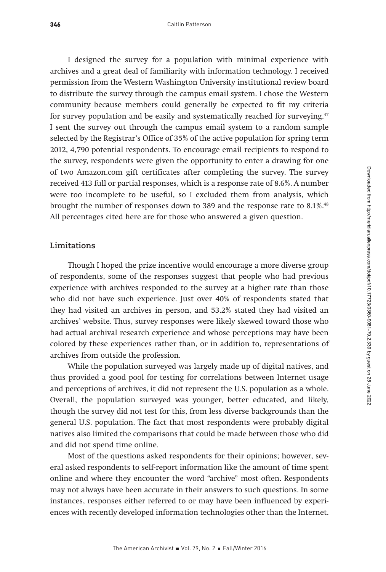I designed the survey for a population with minimal experience with archives and a great deal of familiarity with information technology. I received permission from the Western Washington University institutional review board to distribute the survey through the campus email system. I chose the Western community because members could generally be expected to fit my criteria for survey population and be easily and systematically reached for surveying.<sup>47</sup> I sent the survey out through the campus email system to a random sample selected by the Registrar's Office of 35% of the active population for spring term 2012, 4,790 potential respondents. To encourage email recipients to respond to the survey, respondents were given the opportunity to enter a drawing for one of two Amazon.com gift certificates after completing the survey. The survey received 413 full or partial responses, which is a response rate of 8.6%. A number were too incomplete to be useful, so I excluded them from analysis, which brought the number of responses down to 389 and the response rate to 8.1%.48 All percentages cited here are for those who answered a given question.

## **Limitations**

Though I hoped the prize incentive would encourage a more diverse group of respondents, some of the responses suggest that people who had previous experience with archives responded to the survey at a higher rate than those who did not have such experience. Just over 40% of respondents stated that they had visited an archives in person, and 53.2% stated they had visited an archives' website. Thus, survey responses were likely skewed toward those who had actual archival research experience and whose perceptions may have been colored by these experiences rather than, or in addition to, representations of archives from outside the profession.

While the population surveyed was largely made up of digital natives, and thus provided a good pool for testing for correlations between Internet usage and perceptions of archives, it did not represent the U.S. population as a whole. Overall, the population surveyed was younger, better educated, and likely, though the survey did not test for this, from less diverse backgrounds than the general U.S. population. The fact that most respondents were probably digital natives also limited the comparisons that could be made between those who did and did not spend time online.

Most of the questions asked respondents for their opinions; however, several asked respondents to self-report information like the amount of time spent online and where they encounter the word "archive" most often. Respondents may not always have been accurate in their answers to such questions. In some instances, responses either referred to or may have been influenced by experiences with recently developed information technologies other than the Internet.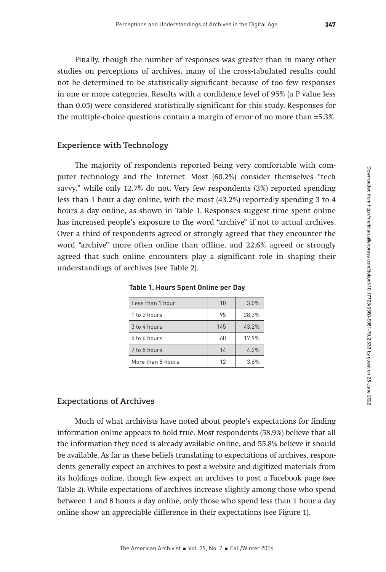Finally, though the number of responses was greater than in many other studies on perceptions of archives, many of the cross-tabulated results could not be determined to be statistically significant because of too few responses in one or more categories. Results with a confidence level of 95% (a P value less than 0.05) were considered statistically significant for this study. Responses for the multiple-choice questions contain a margin of error of no more than ±5.3%.

## **Experience with Technology**

The majority of respondents reported being very comfortable with computer technology and the Internet. Most (60.2%) consider themselves "tech savvy," while only 12.7% do not. Very few respondents (3%) reported spending less than 1 hour a day online, with the most (43.2%) reportedly spending 3 to 4 hours a day online, as shown in Table 1. Responses suggest time spent online has increased people's exposure to the word "archive" if not to actual archives. Over a third of respondents agreed or strongly agreed that they encounter the word "archive" more often online than offline, and 22.6% agreed or strongly agreed that such online encounters play a significant role in shaping their understandings of archives (see Table 2).

| Less than 1 hour  | 10  | 3.0%  |
|-------------------|-----|-------|
| 1 to 2 hours      | 95  | 28.3% |
| 3 to 4 hours      | 145 | 43.2% |
| 5 to 6 hours      | 60  | 17.9% |
| 7 to 8 hours      | 14  | 4.2%  |
| More than 8 hours | 12  | 3.6%  |

**Table 1. Hours Spent Online per Day**

## **Expectations of Archives**

Much of what archivists have noted about people's expectations for finding information online appears to hold true. Most respondents (58.9%) believe that all the information they need is already available online, and 55.8% believe it should be available. As far as these beliefs translating to expectations of archives, respondents generally expect an archives to post a website and digitized materials from its holdings online, though few expect an archives to post a Facebook page (see Table 2). While expectations of archives increase slightly among those who spend between 1 and 8 hours a day online, only those who spend less than 1 hour a day online show an appreciable difference in their expectations (see Figure 1).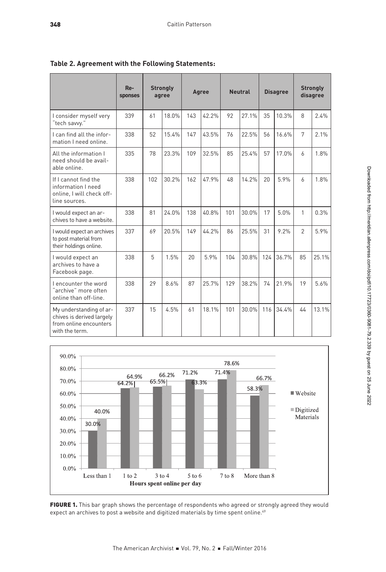|                                                                                                  | $Re-$<br>sponses |     | <b>Strongly</b><br>agree |     | Agree |     | <b>Neutral</b> |     | <b>Disagree</b> |                | <b>Strongly</b><br>disagree |
|--------------------------------------------------------------------------------------------------|------------------|-----|--------------------------|-----|-------|-----|----------------|-----|-----------------|----------------|-----------------------------|
| I consider myself very<br>"tech savvy."                                                          | 339              | 61  | 18.0%                    | 143 | 42.2% | 92  | 27.1%          | 35  | 10.3%           | 8              | 2.4%                        |
| I can find all the infor-<br>mation I need online.                                               | 338              | 52  | 15.4%                    | 147 | 43.5% | 76  | 22.5%          | 56  | 16.6%           | 7              | 2.1%                        |
| All the information I<br>need should be avail-<br>able online.                                   | 335              | 78  | 23.3%                    | 109 | 32.5% | 85  | 25.4%          | 57  | 17.0%           | 6              | 1.8%                        |
| If I cannot find the<br>information I need<br>online, I will check off-<br>line sources.         | 338              | 102 | 30.2%                    | 162 | 47.9% | 48  | 14.2%          | 20  | 5.9%            | $\overline{a}$ | 1.8%                        |
| I would expect an ar-<br>chives to have a website.                                               | 338              | 81  | 24.0%                    | 138 | 40.8% | 101 | 30.0%          | 17  | 5.0%            | 1              | 0.3%                        |
| I would expect an archives<br>to post material from<br>their holdings online.                    | 337              | 69  | 20.5%                    | 149 | 44.2% | 86  | 25.5%          | 31  | 9.2%            | $\mathfrak{D}$ | 5.9%                        |
| I would expect an<br>archives to have a<br>Facebook page.                                        | 338              | 5   | 1.5%                     | 20  | 5.9%  | 104 | 30.8%          | 124 | 36.7%           | 85             | 25.1%                       |
| I encounter the word<br>"archive" more often<br>online than off-line.                            | 338              | 29  | 8.6%                     | 87  | 25.7% | 129 | 38.2%          | 74  | 21.9%           | 19             | 5.6%                        |
| My understanding of ar-<br>chives is derived largely<br>from online encounters<br>with the term. | 337              | 15  | 4.5%                     | 61  | 18.1% | 101 | 30.0%          | 116 | 34.4%           | 44             | 13.1%                       |

**Table 2. Agreement with the Following Statements:**



FIGURE 1. This bar graph shows the percentage of respondents who agreed or strongly agreed they would expect an archives to post a website and digitized materials by time spent online.<sup>49</sup>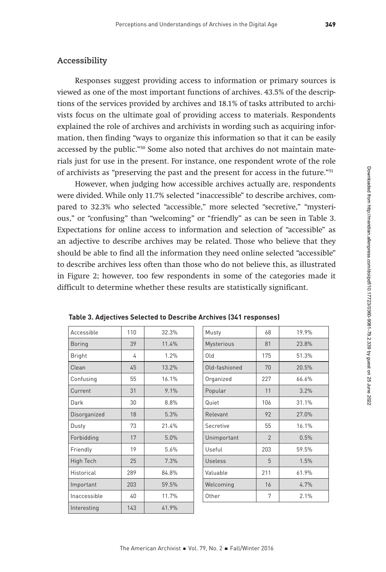# **Accessibility**

Responses suggest providing access to information or primary sources is viewed as one of the most important functions of archives. 43.5% of the descriptions of the services provided by archives and 18.1% of tasks attributed to archivists focus on the ultimate goal of providing access to materials. Respondents explained the role of archives and archivists in wording such as acquiring information, then finding "ways to organize this information so that it can be easily accessed by the public."50 Some also noted that archives do not maintain materials just for use in the present. For instance, one respondent wrote of the role of archivists as "preserving the past and the present for access in the future."51

However, when judging how accessible archives actually are, respondents were divided. While only 11.7% selected "inaccessible" to describe archives, compared to 32.3% who selected "accessible," more selected "secretive," "mysterious," or "confusing" than "welcoming" or "friendly" as can be seen in Table 3. Expectations for online access to information and selection of "accessible" as an adjective to describe archives may be related. Those who believe that they should be able to find all the information they need online selected "accessible" to describe archives less often than those who do not believe this, as illustrated in Figure 2; however, too few respondents in some of the categories made it difficult to determine whether these results are statistically significant.

| Accessible    | 110 | 32.3% | Musty          | 68             | 19.9% |
|---------------|-----|-------|----------------|----------------|-------|
| <b>Boring</b> | 39  | 11.4% | Mysterious     | 81             | 23.8% |
| <b>Bright</b> | 4   | 1.2%  | 0ld            | 175            | 51.3% |
| Clean         | 45  | 13.2% | Old-fashioned  | 70             | 20.5% |
| Confusing     | 55  | 16.1% | Organized      | 227            | 66.6% |
| Current       | 31  | 9.1%  | Popular        | 11             | 3.2%  |
| Dark          | 30  | 8.8%  | Quiet          | 106            | 31.1% |
| Disorganized  | 18  | 5.3%  | Relevant       | 92             | 27.0% |
| Dusty         | 73  | 21.4% | Secretive      | 55             | 16.1% |
| Forbidding    | 17  | 5.0%  | Unimportant    | $\overline{2}$ | 0.5%  |
| Friendly      | 19  | 5.6%  | Useful         | 203            | 59.5% |
| High Tech     | 25  | 7.3%  | <b>Useless</b> | 5              | 1.5%  |
| Historical    | 289 | 84.8% | Valuable       | 211            | 61.9% |
| Important     | 203 | 59.5% | Welcoming      | 16             | 4.7%  |
| Inaccessible  | 40  | 11.7% | Other          | 7              | 2.1%  |
| Interesting   | 143 | 41.9% |                |                |       |

|  |  | Table 3. Adjectives Selected to Describe Archives (341 responses) |  |
|--|--|-------------------------------------------------------------------|--|
|--|--|-------------------------------------------------------------------|--|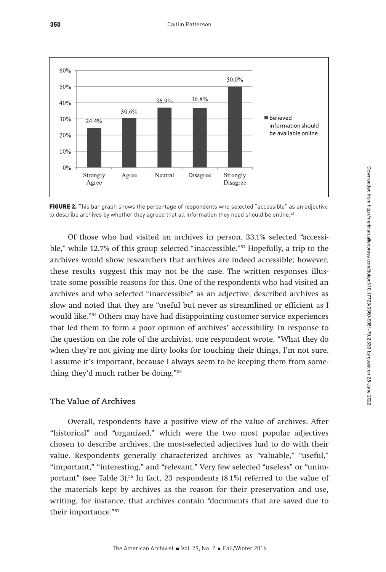

FIGURE 2. This bar graph shows the percentage of respondents who selected "accessible" as an adjective to describe archives by whether they agreed that all information they need should be online.<sup>52</sup>

Of those who had visited an archives in person, 33.1% selected "accessible," while 12.7% of this group selected "inaccessible."<sup>53</sup> Hopefully, a trip to the archives would show researchers that archives are indeed accessible; however, these results suggest this may not be the case. The written responses illustrate some possible reasons for this. One of the respondents who had visited an archives and who selected "inaccessible" as an adjective, described archives as slow and noted that they are "useful but never as streamlined or efficient as I would like."54 Others may have had disappointing customer service experiences that led them to form a poor opinion of archives' accessibility. In response to the question on the role of the archivist, one respondent wrote, "What they do when they're not giving me dirty looks for touching their things, I'm not sure. I assume it's important, because I always seem to be keeping them from something they'd much rather be doing."55

# **The Value of Archives**

Overall, respondents have a positive view of the value of archives. After "historical" and "organized," which were the two most popular adjectives chosen to describe archives, the most-selected adjectives had to do with their value. Respondents generally characterized archives as "valuable," "useful," "important," "interesting," and "relevant." Very few selected "useless" or "unimportant" (see Table 3).<sup>56</sup> In fact, 23 respondents  $(8.1\%)$  referred to the value of the materials kept by archives as the reason for their preservation and use, writing, for instance, that archives contain "documents that are saved due to their importance."57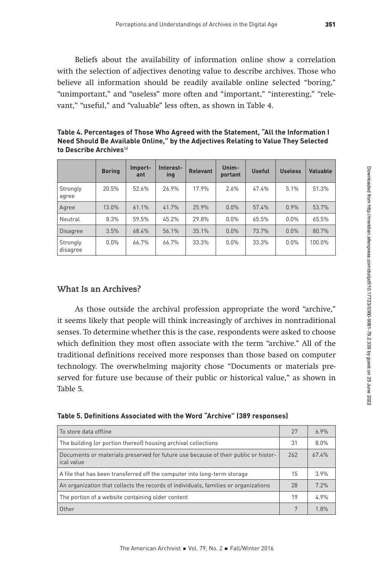Beliefs about the availability of information online show a correlation with the selection of adjectives denoting value to describe archives. Those who believe all information should be readily available online selected "boring," "unimportant," and "useless" more often and "important," "interesting," "relevant," "useful," and "valuable" less often, as shown in Table 4.

**Table 4. Percentages of Those Who Agreed with the Statement, "All the Information I Need Should Be Available Online," by the Adjectives Relating to Value They Selected to Describe Archives**<sup>58</sup>

|                      | <b>Boring</b> | Import-<br>ant | Interest-<br>ing | <b>Relevant</b> | Unim-<br>portant | <b>Useful</b> | <b>Useless</b> | Valuable |
|----------------------|---------------|----------------|------------------|-----------------|------------------|---------------|----------------|----------|
| Strongly<br>agree    | 20.5%         | 52.6%          | 26.9%            | 17.9%           | 2.6%             | 47.4%         | 5.1%           | 51.3%    |
| Agree                | 13.0%         | 61.1%          | 41.7%            | 25.9%           | 0.0%             | 57.4%         | 0.9%           | 53.7%    |
| Neutral              | 8.3%          | 59.5%          | 45.2%            | 29.8%           | $0.0\%$          | 65.5%         | 0.0%           | 65.5%    |
| <b>Disagree</b>      | 3.5%          | 68.4%          | 56.1%            | 35.1%           | $0.0\%$          | 73.7%         | 0.0%           | 80.7%    |
| Strongly<br>disagree | $0.0\%$       | 66.7%          | 66.7%            | 33.3%           | $0.0\%$          | 33.3%         | 0.0%           | 100.0%   |

# **What Is an Archives?**

As those outside the archival profession appropriate the word "archive," it seems likely that people will think increasingly of archives in nontraditional senses. To determine whether this is the case, respondents were asked to choose which definition they most often associate with the term "archive." All of the traditional definitions received more responses than those based on computer technology. The overwhelming majority chose "Documents or materials preserved for future use because of their public or historical value," as shown in Table 5.

| Table 5. Definitions Associated with the Word "Archive" (389 responses) |  |  |  |
|-------------------------------------------------------------------------|--|--|--|
|-------------------------------------------------------------------------|--|--|--|

| To store data offline                                                                            | 27  | 69%   |
|--------------------------------------------------------------------------------------------------|-----|-------|
| The building (or portion thereof) housing archival collections                                   | 31  | 8.0%  |
| Documents or materials preserved for future use because of their public or histor-<br>ical value | 262 | 67.4% |
| A file that has been transferred off the computer into long-term storage                         | 15  | 39%   |
| An organization that collects the records of individuals, families or organizations              | 28  | 7.2%  |
| The portion of a website containing older content                                                | 19  | 49%   |
| Other                                                                                            | 7   | 1.8%  |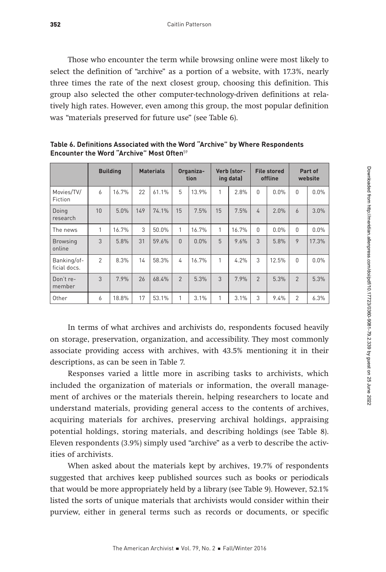Those who encounter the term while browsing online were most likely to select the definition of "archive" as a portion of a website, with 17.3%, nearly three times the rate of the next closest group, choosing this definition. This group also selected the other computer-technology-driven definitions at relatively high rates. However, even among this group, the most popular definition was "materials preserved for future use" (see Table 6).

|                             | <b>Building</b> |       |     | <b>Materials</b> | Organiza-<br>tion |       |    |       |                |       | Verb (stor-<br>ing data) |       | <b>File stored</b><br>offline |  |  |  | Part of<br>website |  |
|-----------------------------|-----------------|-------|-----|------------------|-------------------|-------|----|-------|----------------|-------|--------------------------|-------|-------------------------------|--|--|--|--------------------|--|
| Movies/TV/<br>Fiction       | 6               | 16.7% | 22  | 61.1%            | 5                 | 13.9% | 1  | 2.8%  | 0              | 0.0%  | $\mathbf{0}$             | 0.0%  |                               |  |  |  |                    |  |
| Doing<br>research           | 10              | 5.0%  | 149 | 74.1%            | 15                | 7.5%  | 15 | 7.5%  | $\Delta$       | 2.0%  | 6                        | 3.0%  |                               |  |  |  |                    |  |
| The news                    | 1               | 16.7% | 3   | 50.0%            | 1                 | 16.7% | 1  | 16.7% | 0              | 0.0%  | $\mathbf{0}$             | 0.0%  |                               |  |  |  |                    |  |
| <b>Browsing</b><br>online   | 3               | 5.8%  | 31  | 59.6%            | $\Omega$          | 0.0%  | 5  | 9.6%  | 3              | 5.8%  | 9                        | 17.3% |                               |  |  |  |                    |  |
| Banking/of-<br>ficial docs. | $\mathfrak{p}$  | 8.3%  | 14  | 58.3%            | 4                 | 16.7% | 1  | 4.2%  | 3              | 12.5% | $\mathbf{0}$             | 0.0%  |                               |  |  |  |                    |  |
| Don't re-<br>member         | 3               | 7.9%  | 26  | 68.4%            | $\overline{2}$    | 5.3%  | 3  | 7.9%  | $\overline{2}$ | 5.3%  | $\overline{2}$           | 5.3%  |                               |  |  |  |                    |  |
| Other                       | 6               | 18.8% | 17  | 53.1%            | 1                 | 3.1%  | 1  | 3.1%  | 3              | 9.4%  | $\overline{2}$           | 6.3%  |                               |  |  |  |                    |  |

**Table 6. Definitions Associated with the Word "Archive" by Where Respondents Encounter the Word "Archive" Most Often**<sup>59</sup>

In terms of what archives and archivists do, respondents focused heavily on storage, preservation, organization, and accessibility. They most commonly associate providing access with archives, with 43.5% mentioning it in their descriptions, as can be seen in Table 7.

Responses varied a little more in ascribing tasks to archivists, which included the organization of materials or information, the overall management of archives or the materials therein, helping researchers to locate and understand materials, providing general access to the contents of archives, acquiring materials for archives, preserving archival holdings, appraising potential holdings, storing materials, and describing holdings (see Table 8). Eleven respondents (3.9%) simply used "archive" as a verb to describe the activities of archivists.

When asked about the materials kept by archives, 19.7% of respondents suggested that archives keep published sources such as books or periodicals that would be more appropriately held by a library (see Table 9). However, 52.1% listed the sorts of unique materials that archivists would consider within their purview, either in general terms such as records or documents, or specific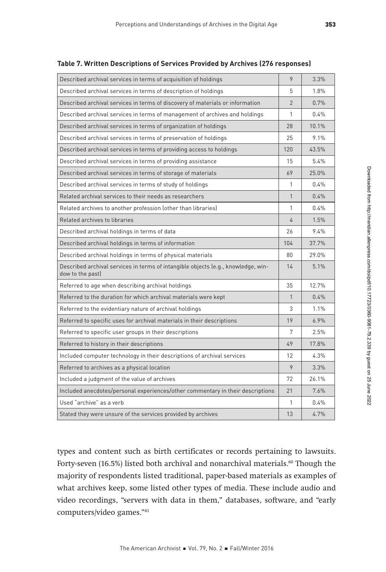| Described archival services in terms of acquisition of holdings                                       | 9              | 3.3%  |
|-------------------------------------------------------------------------------------------------------|----------------|-------|
| Described archival services in terms of description of holdings                                       | 5              | 1.8%  |
| Described archival services in terms of discovery of materials or information                         | $\overline{2}$ | 0.7%  |
| Described archival services in terms of management of archives and holdings                           | $\mathbf{1}$   | 0.4%  |
| Described archival services in terms of organization of holdings                                      | 28             | 10.1% |
| Described archival services in terms of preservation of holdings                                      | 25             | 9.1%  |
| Described archival services in terms of providing access to holdings                                  | 120            | 43.5% |
| Described archival services in terms of providing assistance                                          | 15             | 5.4%  |
| Described archival services in terms of storage of materials                                          | 69             | 25.0% |
| Described archival services in terms of study of holdings                                             | 1              | 0.4%  |
| Related archival services to their needs as researchers                                               | $\mathbf{1}$   | 0.4%  |
| Related archives to another profession (other than libraries)                                         | 1              | 0.4%  |
| Related archives to libraries                                                                         | $\overline{4}$ | 1.5%  |
| Described archival holdings in terms of data                                                          | 26             | 9.4%  |
| Described archival holdings in terms of information                                                   | 104            | 37.7% |
| Described archival holdings in terms of physical materials                                            | 80             | 29.0% |
| Described archival services in terms of intangible objects (e.g., knowledge, win-<br>dow to the past) | 14             | 5.1%  |
| Referred to age when describing archival holdings                                                     | 35             | 12.7% |
| Referred to the duration for which archival materials were kept                                       | $\mathbf{1}$   | 0.4%  |
| Referred to the evidentiary nature of archival holdings                                               | 3              | 1.1%  |
| Referred to specific uses for archival materials in their descriptions                                | 19             | 6.9%  |
| Referred to specific user groups in their descriptions                                                | 7              | 2.5%  |
| Referred to history in their descriptions                                                             | 49             | 17.8% |
| Included computer technology in their descriptions of archival services                               | 12             | 4.3%  |
| Referred to archives as a physical location                                                           | 9              | 3.3%  |
| Included a judgment of the value of archives                                                          | 72             | 26.1% |
| Included anecdotes/personal experiences/other commentary in their descriptions                        | 21             | 7.6%  |
| Used "archive" as a verb                                                                              | $\mathbf{1}$   | 0.4%  |
| Stated they were unsure of the services provided by archives                                          | 13             | 4.7%  |
|                                                                                                       |                |       |

#### **Table 7. Written Descriptions of Services Provided by Archives (276 responses)**

types and content such as birth certificates or records pertaining to lawsuits. Forty-seven (16.5%) listed both archival and nonarchival materials.<sup>60</sup> Though the majority of respondents listed traditional, paper-based materials as examples of what archives keep, some listed other types of media. These include audio and video recordings, "servers with data in them," databases, software, and "early computers/video games."61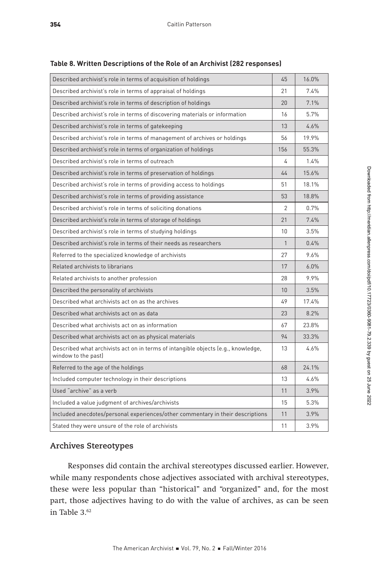| Described archivist's role in terms of acquisition of holdings                                           | 45             | 16.0% |
|----------------------------------------------------------------------------------------------------------|----------------|-------|
| Described archivist's role in terms of appraisal of holdings                                             | 21             | 7.4%  |
| Described archivist's role in terms of description of holdings                                           | 20             | 7.1%  |
| Described archivist's role in terms of discovering materials or information                              | 16             | 5.7%  |
| Described archivist's role in terms of gatekeeping                                                       | 13             | 4.6%  |
| Described archivist's role in terms of management of archives or holdings                                | 56             | 19.9% |
| Described archivist's role in terms of organization of holdings                                          | 156            | 55.3% |
| Described archivist's role in terms of outreach                                                          | 4              | 1.4%  |
| Described archivist's role in terms of preservation of holdings                                          | 44             | 15.6% |
| Described archivist's role in terms of providing access to holdings                                      | 51             | 18.1% |
| Described archivist's role in terms of providing assistance                                              | 53             | 18.8% |
| Described archivist's role in terms of soliciting donations                                              | $\overline{2}$ | 0.7%  |
| Described archivist's role in terms of storage of holdings                                               | 21             | 7.4%  |
| Described archivist's role in terms of studying holdings                                                 | 10             | 3.5%  |
| Described archivist's role in terms of their needs as researchers                                        | $\mathbf{1}$   | 0.4%  |
| Referred to the specialized knowledge of archivists                                                      | 27             | 9.6%  |
| Related archivists to librarians                                                                         | 17             | 6.0%  |
| Related archivists to another profession                                                                 | 28             | 9.9%  |
| Described the personality of archivists                                                                  | 10             | 3.5%  |
| Described what archivists act on as the archives                                                         | 49             | 17.4% |
| Described what archivists act on as data                                                                 | 23             | 8.2%  |
| Described what archivists act on as information                                                          | 67             | 23.8% |
| Described what archivists act on as physical materials                                                   | 94             | 33.3% |
| Described what archivists act on in terms of intangible objects (e.g., knowledge,<br>window to the past) | 13             | 4.6%  |
| Referred to the age of the holdings                                                                      | 68             | 24.1% |
| Included computer technology in their descriptions                                                       | 13             | 4.6%  |
| Used "archive" as a verb                                                                                 | 11             | 3.9%  |
| Included a value judgment of archives/archivists                                                         | 15             | 5.3%  |
| Included anecdotes/personal experiences/other commentary in their descriptions                           | 11             | 3.9%  |
| Stated they were unsure of the role of archivists                                                        | 11             | 3.9%  |

**Table 8. Written Descriptions of the Role of an Archivist (282 responses)**

## **Archives Stereotypes**

Responses did contain the archival stereotypes discussed earlier. However, while many respondents chose adjectives associated with archival stereotypes, these were less popular than "historical" and "organized" and, for the most part, those adjectives having to do with the value of archives, as can be seen in Table  $3.^{62}$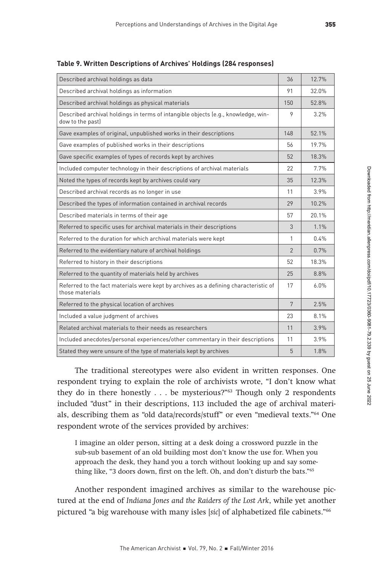| Described archival holdings as data                                                                     | 36             | 12.7% |
|---------------------------------------------------------------------------------------------------------|----------------|-------|
| Described archival holdings as information                                                              | 91             | 32.0% |
| Described archival holdings as physical materials                                                       | 150            | 52.8% |
| Described archival holdings in terms of intangible objects (e.g., knowledge, win-<br>dow to the past)   | 9              | 3.2%  |
| Gave examples of original, unpublished works in their descriptions                                      | 148            | 52.1% |
| Gave examples of published works in their descriptions                                                  | 56             | 19.7% |
| Gave specific examples of types of records kept by archives                                             | 52             | 18.3% |
| Included computer technology in their descriptions of archival materials                                | 22             | 7.7%  |
| Noted the types of records kept by archives could vary                                                  | 35             | 12.3% |
| Described archival records as no longer in use                                                          | 11             | 3.9%  |
| Described the types of information contained in archival records                                        | 29             | 10.2% |
| Described materials in terms of their age                                                               | 57             | 20.1% |
| Referred to specific uses for archival materials in their descriptions                                  | 3              | 1.1%  |
| Referred to the duration for which archival materials were kept                                         | 1              | 0.4%  |
| Referred to the evidentiary nature of archival holdings                                                 | $\overline{2}$ | 0.7%  |
| Referred to history in their descriptions                                                               | 52             | 18.3% |
| Referred to the quantity of materials held by archives                                                  | 25             | 8.8%  |
| Referred to the fact materials were kept by archives as a defining characteristic of<br>those materials | 17             | 6.0%  |
| Referred to the physical location of archives                                                           | 7              | 2.5%  |
| Included a value judgment of archives                                                                   | 23             | 8.1%  |
| Related archival materials to their needs as researchers                                                | 11             | 3.9%  |
| Included anecdotes/personal experiences/other commentary in their descriptions                          | 11             | 3.9%  |
| Stated they were unsure of the type of materials kept by archives                                       | 5              | 1.8%  |

**Table 9. Written Descriptions of Archives' Holdings (284 responses)**

The traditional stereotypes were also evident in written responses. One respondent trying to explain the role of archivists wrote, "I don't know what they do in there honestly . . . be mysterious?"<sup>63</sup> Though only 2 respondents included "dust" in their descriptions, 113 included the age of archival materials, describing them as "old data/records/stuff" or even "medieval texts."64 One respondent wrote of the services provided by archives:

I imagine an older person, sitting at a desk doing a crossword puzzle in the sub-sub basement of an old building most don't know the use for. When you approach the desk, they hand you a torch without looking up and say something like, "3 doors down, first on the left. Oh, and don't disturb the bats."65

Another respondent imagined archives as similar to the warehouse pictured at the end of Indiana Jones and the Raiders of the Lost Ark, while yet another pictured "a big warehouse with many isles [sic] of alphabetized file cabinets."66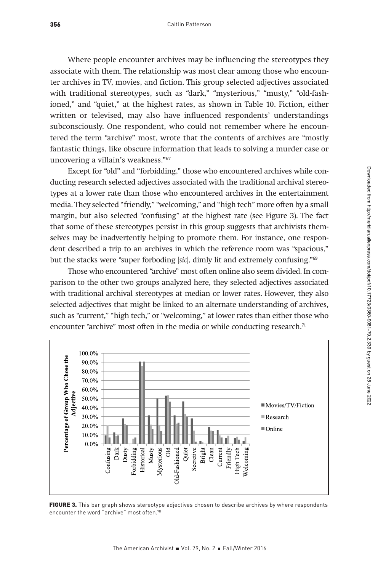Where people encounter archives may be influencing the stereotypes they associate with them. The relationship was most clear among those who encounter archives in TV, movies, and fiction. This group selected adjectives associated with traditional stereotypes, such as "dark," "mysterious," "musty," "old-fashioned," and "quiet," at the highest rates, as shown in Table 10. Fiction, either written or televised, may also have influenced respondents' understandings subconsciously. One respondent, who could not remember where he encountered the term "archive" most, wrote that the contents of archives are "mostly fantastic things, like obscure information that leads to solving a murder case or uncovering a villain's weakness."67

Except for "old" and "forbidding," those who encountered archives while conducting research selected adjectives associated with the traditional archival stereotypes at a lower rate than those who encountered archives in the entertainment media. They selected "friendly," "welcoming," and "high tech" more often by a small margin, but also selected "confusing" at the highest rate (see Figure 3). The fact that some of these stereotypes persist in this group suggests that archivists themselves may be inadvertently helping to promote them. For instance, one respondent described a trip to an archives in which the reference room was "spacious," but the stacks were "super forboding [sic], dimly lit and extremely confusing."<sup>69</sup>

Those who encountered "archive" most often online also seem divided. In comparison to the other two groups analyzed here, they selected adjectives associated with traditional archival stereotypes at median or lower rates. However, they also selected adjectives that might be linked to an alternate understanding of archives, such as "current," "high tech," or "welcoming," at lower rates than either those who encounter "archive" most often in the media or while conducting research.<sup>71</sup>



FIGURE 3. This bar graph shows stereotype adjectives chosen to describe archives by where respondents encounter the word "archive" most often.70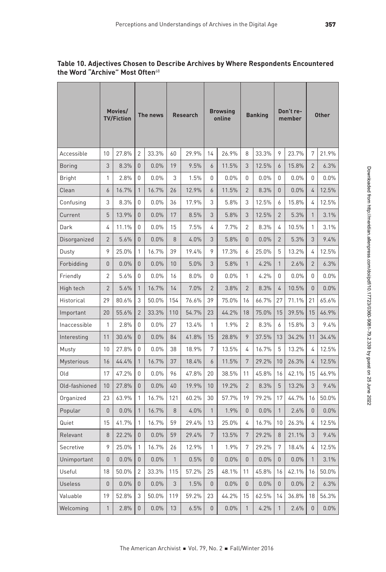|                   | Movies/<br><b>TV/Fiction</b> |       | The news       |         | <b>Research</b> |       | <b>Browsing</b><br>online |         | <b>Banking</b> |       | Don't re-<br>member |       | <b>Other</b>   |         |
|-------------------|------------------------------|-------|----------------|---------|-----------------|-------|---------------------------|---------|----------------|-------|---------------------|-------|----------------|---------|
| Accessible        | 10                           | 27.8% | $\overline{2}$ | 33.3%   | 60              | 29.9% | 14                        | 26.9%   | 8              | 33.3% | 9                   | 23.7% | 7              | 21.9%   |
| Boring            | 3                            | 8.3%  | $\Omega$       | 0.0%    | 19              | 9.5%  | 6                         | 11.5%   | 3              | 12.5% | 6                   | 15.8% | $\overline{2}$ | 6.3%    |
| Bright            | 1                            | 2.8%  | 0              | 0.0%    | 3               | 1.5%  | 0                         | 0.0%    | 0              | 0.0%  | 0                   | 0.0%  | 0              | $0.0\%$ |
| Clean             | 6                            | 16.7% | $\mathbf{1}$   | 16.7%   | 26              | 12.9% | 6                         | 11.5%   | $\overline{2}$ | 8.3%  | $\Omega$            | 0.0%  | 4              | 12.5%   |
| Confusing         | 3                            | 8.3%  | 0              | $0.0\%$ | 36              | 17.9% | 3                         | 5.8%    | 3              | 12.5% | 6                   | 15.8% | 4              | 12.5%   |
| Current           | 5                            | 13.9% | 0              | 0.0%    | 17              | 8.5%  | 3                         | 5.8%    | 3              | 12.5% | $\overline{2}$      | 5.3%  | 1              | 3.1%    |
| Dark              | 4                            | 11.1% | 0              | $0.0\%$ | 15              | 7.5%  | 4                         | 7.7%    | 2              | 8.3%  | 4                   | 10.5% | 1              | $3.1\%$ |
| Disorganized      | $\overline{2}$               | 5.6%  | 0              | 0.0%    | 8               | 4.0%  | 3                         | 5.8%    | $\mathbf{0}$   | 0.0%  | $\overline{2}$      | 5.3%  | 3              | 9.4%    |
| Dusty             | 9                            | 25.0% | 1              | 16.7%   | 39              | 19.4% | 9                         | 17.3%   | 6              | 25.0% | 5                   | 13.2% | 4              | 12.5%   |
| Forbidding        | $\Omega$                     | 0.0%  | 0              | 0.0%    | 10              | 5.0%  | 3                         | 5.8%    | $\mathbf{1}$   | 4.2%  | $\mathbf{1}$        | 2.6%  | $\overline{2}$ | 6.3%    |
| Friendly          | $\overline{2}$               | 5.6%  | 0              | 0.0%    | 16              | 8.0%  | 0                         | $0.0\%$ | 1              | 4.2%  | $\mathbf{0}$        | 0.0%  | 0              | $0.0\%$ |
| High tech         | $\overline{2}$               | 5.6%  | $\mathbf{1}$   | 16.7%   | 14              | 7.0%  | $\overline{2}$            | 3.8%    | $\overline{2}$ | 8.3%  | 4                   | 10.5% | 0              | $0.0\%$ |
| Historical        | 29                           | 80.6% | 3              | 50.0%   | 154             | 76.6% | 39                        | 75.0%   | 16             | 66.7% | 27                  | 71.1% | 21             | 65.6%   |
| Important         | 20                           | 55.6% | $\overline{2}$ | 33.3%   | 110             | 54.7% | 23                        | 44.2%   | 18             | 75.0% | 15                  | 39.5% | 15             | 46.9%   |
| Inaccessible      | 1                            | 2.8%  | 0              | 0.0%    | 27              | 13.4% | 1                         | 1.9%    | 2              | 8.3%  | 6                   | 15.8% | 3              | $9.4\%$ |
| Interesting       | 11                           | 30.6% | 0              | 0.0%    | 84              | 41.8% | 15                        | 28.8%   | 9              | 37.5% | 13                  | 34.2% | 11             | 34.4%   |
| Musty             | 10                           | 27.8% | 0              | $0.0\%$ | 38              | 18.9% | 7                         | 13.5%   | 4              | 16.7% | 5                   | 13.2% | 4              | 12.5%   |
| <b>Mysterious</b> | 16                           | 44.4% | $\mathbf{1}$   | 16.7%   | 37              | 18.4% | 6                         | 11.5%   | 7              | 29.2% | 10                  | 26.3% | 4              | 12.5%   |
| Old               | 17                           | 47.2% | 0              | $0.0\%$ | 96              | 47.8% | 20                        | 38.5%   | 11             | 45.8% | 16                  | 42.1% | 15             | 46.9%   |
| Old-fashioned     | 10                           | 27.8% | 0              | 0.0%    | 40              | 19.9% | 10                        | 19.2%   | $\overline{2}$ | 8.3%  | 5                   | 13.2% | 3              | $9.4\%$ |
| Organized         | 23                           | 63.9% | 1              | 16.7%   | 121             | 60.2% | 30                        | 57.7%   | 19             | 79.2% | 17                  | 44.7% | 16             | 50.0%   |
| Popular           | $\Omega$                     | 0.0%  | $\mathbf{1}$   | 16.7%   | 8               | 4.0%  | $\mathbf{1}$              | 1.9%    | $\mathbf{0}$   | 0.0%  | $\mathbf{1}$        | 2.6%  | 0              | $0.0\%$ |
| Quiet             | 15                           | 41.7% | 1              | 16.7%   | 59              | 29.4% | 13                        | 25.0%   | 4              | 16.7% | 10                  | 26.3% | 4              | 12.5%   |
| Relevant          | 8                            | 22.2% | 0              | 0.0%    | 59              | 29.4% | 7                         | 13.5%   | 7              | 29.2% | 8                   | 21.1% | 3              | 9.4%    |
| Secretive         | 9                            | 25.0% | 1              | 16.7%   | 26              | 12.9% | 1                         | 1.9%    | 7              | 29.2% | 7                   | 18.4% | 4              | 12.5%   |
| Unimportant       | 0                            | 0.0%  | 0              | 0.0%    | 1               | 0.5%  | 0                         | 0.0%    | 0              | 0.0%  | 0                   | 0.0%  | 1              | 3.1%    |
| Useful            | 18                           | 50.0% | 2              | 33.3%   | 115             | 57.2% | 25                        | 48.1%   | 11             | 45.8% | 16                  | 42.1% | 16             | 50.0%   |
| <b>Useless</b>    | 0                            | 0.0%  | 0              | 0.0%    | 3               | 1.5%  | 0                         | 0.0%    | 0              | 0.0%  | 0                   | 0.0%  | $\overline{2}$ | 6.3%    |
| Valuable          | 19                           | 52.8% | 3              | 50.0%   | 119             | 59.2% | 23                        | 44.2%   | 15             | 62.5% | 14                  | 36.8% | 18             | 56.3%   |
| Welcoming         | $\mathbf{1}$                 | 2.8%  | 0              | $0.0\%$ | 13              | 6.5%  | 0                         | 0.0%    | 1              | 4.2%  | 1                   | 2.6%  | 0              | $0.0\%$ |

## **Table 10. Adjectives Chosen to Describe Archives by Where Respondents Encountered the Word "Archive" Most Often**<sup>68</sup>

Τ

T

т

 $\top$ 

r.

 $\mathbf{u}$ 

 $\mathbf{r}$ 

٦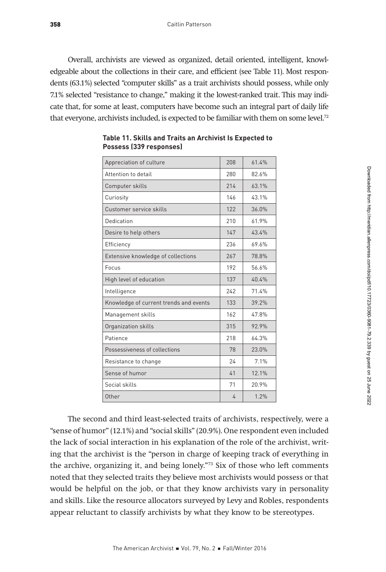Overall, archivists are viewed as organized, detail oriented, intelligent, knowledgeable about the collections in their care, and efficient (see Table 11). Most respondents (63.1%) selected "computer skills" as a trait archivists should possess, while only 7.1% selected "resistance to change," making it the lowest-ranked trait. This may indicate that, for some at least, computers have become such an integral part of daily life that everyone, archivists included, is expected to be familiar with them on some level.<sup>72</sup>

| Appreciation of culture                | 208 | 614%  |
|----------------------------------------|-----|-------|
| Attention to detail                    | 280 | 82.6% |
| Computer skills                        | 214 | 63.1% |
| Curiosity                              | 146 | 43 1% |
| Customer service skills                | 122 | 36.0% |
| Dedication                             | 210 | 61.9% |
| Desire to help others                  | 147 | 434%  |
| Efficiency                             | 236 | 69.6% |
| Extensive knowledge of collections     | 267 | 78.8% |
| Focus                                  | 192 | 56 6% |
| High level of education                | 137 | 40 4% |
| Intelligence                           | 242 | 71.4% |
| Knowledge of current trends and events | 133 | 39 2% |
| Management skills                      | 162 | 478%  |
| Organization skills                    | 315 | 92.9% |
| Patience                               | 218 | 64.3% |
| Possessiveness of collections          | 78  | 23.0% |
| Resistance to change                   | 24  | 71%   |
| Sense of humor                         | 41  | 12.1% |
| Social skills                          | 71  | 20.9% |
| Other                                  | 4   | 1.2%  |

**Table 11. Skills and Traits an Archivist Is Expected to Possess (339 responses)**

The second and third least-selected traits of archivists, respectively, were a "sense of humor" (12.1%) and "social skills" (20.9%). One respondent even included the lack of social interaction in his explanation of the role of the archivist, writing that the archivist is the "person in charge of keeping track of everything in the archive, organizing it, and being lonely."73 Six of those who left comments noted that they selected traits they believe most archivists would possess or that would be helpful on the job, or that they know archivists vary in personality and skills. Like the resource allocators surveyed by Levy and Robles, respondents appear reluctant to classify archivists by what they know to be stereotypes.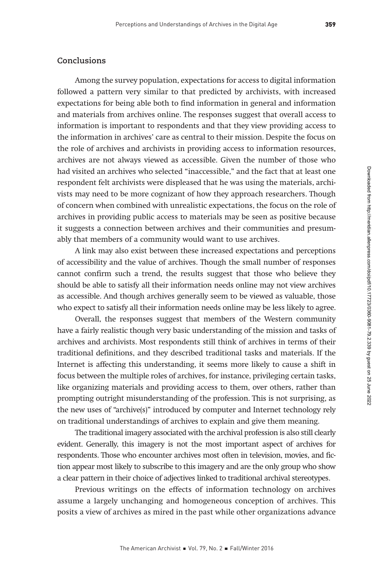### **Conclusions**

Among the survey population, expectations for access to digital information followed a pattern very similar to that predicted by archivists, with increased expectations for being able both to find information in general and information and materials from archives online. The responses suggest that overall access to information is important to respondents and that they view providing access to the information in archives' care as central to their mission. Despite the focus on the role of archives and archivists in providing access to information resources, archives are not always viewed as accessible. Given the number of those who had visited an archives who selected "inaccessible," and the fact that at least one respondent felt archivists were displeased that he was using the materials, archivists may need to be more cognizant of how they approach researchers. Though of concern when combined with unrealistic expectations, the focus on the role of archives in providing public access to materials may be seen as positive because it suggests a connection between archives and their communities and presumably that members of a community would want to use archives.

A link may also exist between these increased expectations and perceptions of accessibility and the value of archives. Though the small number of responses cannot confirm such a trend, the results suggest that those who believe they should be able to satisfy all their information needs online may not view archives as accessible. And though archives generally seem to be viewed as valuable, those who expect to satisfy all their information needs online may be less likely to agree.

Overall, the responses suggest that members of the Western community have a fairly realistic though very basic understanding of the mission and tasks of archives and archivists. Most respondents still think of archives in terms of their traditional definitions, and they described traditional tasks and materials. If the Internet is affecting this understanding, it seems more likely to cause a shift in focus between the multiple roles of archives, for instance, privileging certain tasks, like organizing materials and providing access to them, over others, rather than prompting outright misunderstanding of the profession. This is not surprising, as the new uses of "archive(s)" introduced by computer and Internet technology rely on traditional understandings of archives to explain and give them meaning.

The traditional imagery associated with the archival profession is also still clearly evident. Generally, this imagery is not the most important aspect of archives for respondents. Those who encounter archives most often in television, movies, and fiction appear most likely to subscribe to this imagery and are the only group who show a clear pattern in their choice of adjectives linked to traditional archival stereotypes.

Previous writings on the effects of information technology on archives assume a largely unchanging and homogeneous conception of archives. This posits a view of archives as mired in the past while other organizations advance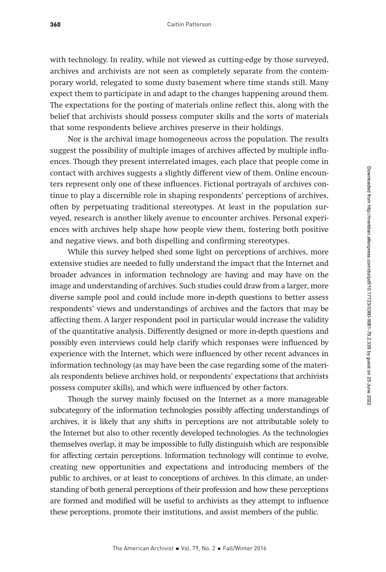with technology. In reality, while not viewed as cutting-edge by those surveyed, archives and archivists are not seen as completely separate from the contemporary world, relegated to some dusty basement where time stands still. Many expect them to participate in and adapt to the changes happening around them. The expectations for the posting of materials online reflect this, along with the belief that archivists should possess computer skills and the sorts of materials that some respondents believe archives preserve in their holdings.

Nor is the archival image homogeneous across the population. The results suggest the possibility of multiple images of archives affected by multiple influences. Though they present interrelated images, each place that people come in contact with archives suggests a slightly different view of them. Online encounters represent only one of these influences. Fictional portrayals of archives continue to play a discernible role in shaping respondents' perceptions of archives, often by perpetuating traditional stereotypes. At least in the population surveyed, research is another likely avenue to encounter archives. Personal experiences with archives help shape how people view them, fostering both positive and negative views, and both dispelling and confirming stereotypes.

While this survey helped shed some light on perceptions of archives, more extensive studies are needed to fully understand the impact that the Internet and broader advances in information technology are having and may have on the image and understanding of archives. Such studies could draw from a larger, more diverse sample pool and could include more in-depth questions to better assess respondents' views and understandings of archives and the factors that may be affecting them. A larger respondent pool in particular would increase the validity of the quantitative analysis. Differently designed or more in-depth questions and possibly even interviews could help clarify which responses were influenced by experience with the Internet, which were influenced by other recent advances in information technology (as may have been the case regarding some of the materials respondents believe archives hold, or respondents' expectations that archivists possess computer skills), and which were influenced by other factors.

Though the survey mainly focused on the Internet as a more manageable subcategory of the information technologies possibly affecting understandings of archives, it is likely that any shifts in perceptions are not attributable solely to the Internet but also to other recently developed technologies. As the technologies themselves overlap, it may be impossible to fully distinguish which are responsible for affecting certain perceptions. Information technology will continue to evolve, creating new opportunities and expectations and introducing members of the public to archives, or at least to conceptions of archives. In this climate, an understanding of both general perceptions of their profession and how these perceptions are formed and modified will be useful to archivists as they attempt to influence these perceptions, promote their institutions, and assist members of the public.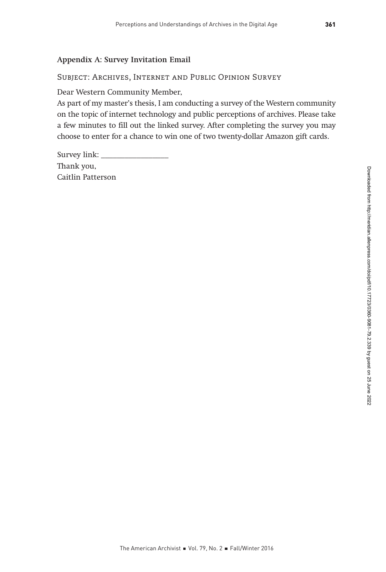## Appendix A: Survey Invitation Email

#### Subject: Archives, Internet and Public Opinion Survey

Dear Western Community Member,

As part of my master's thesis, I am conducting a survey of the Western community on the topic of internet technology and public perceptions of archives. Please take a few minutes to fill out the linked survey. After completing the survey you may choose to enter for a chance to win one of two twenty-dollar Amazon gift cards.

Survey link: \_\_\_\_\_\_\_\_\_\_\_\_\_\_\_\_\_ Thank you, Caitlin Patterson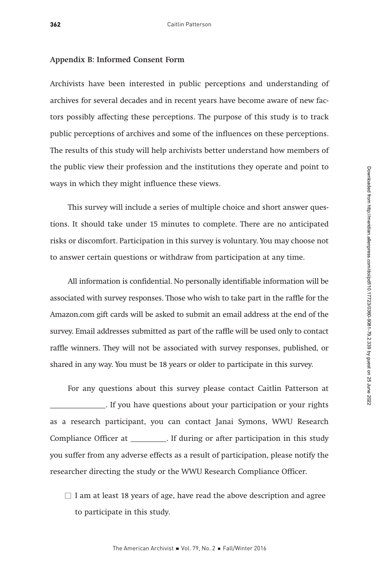#### Appendix B: Informed Consent Form

Archivists have been interested in public perceptions and understanding of archives for several decades and in recent years have become aware of new factors possibly affecting these perceptions. The purpose of this study is to track public perceptions of archives and some of the influences on these perceptions. The results of this study will help archivists better understand how members of the public view their profession and the institutions they operate and point to ways in which they might influence these views.

This survey will include a series of multiple choice and short answer questions. It should take under 15 minutes to complete. There are no anticipated risks or discomfort. Participation in this survey is voluntary. You may choose not to answer certain questions or withdraw from participation at any time.

All information is confidential. No personally identifiable information will be associated with survey responses. Those who wish to take part in the raffle for the Amazon.com gift cards will be asked to submit an email address at the end of the survey. Email addresses submitted as part of the raffle will be used only to contact raffle winners. They will not be associated with survey responses, published, or shared in any way. You must be 18 years or older to participate in this survey.

For any questions about this survey please contact Caitlin Patterson at \_\_\_\_\_\_\_\_\_\_\_\_\_\_. If you have questions about your participation or your rights as a research participant, you can contact Janai Symons, WWU Research Compliance Officer at \_\_\_\_\_\_\_\_\_. If during or after participation in this study you suffer from any adverse effects as a result of participation, please notify the researcher directing the study or the WWU Research Compliance Officer.

 $\Box$  I am at least 18 years of age, have read the above description and agree to participate in this study.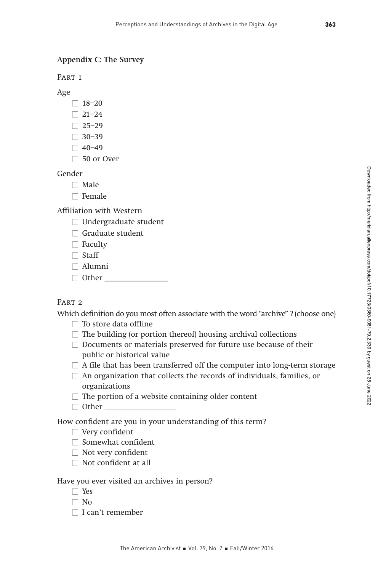#### Appendix C: The Survey

PART <sub>1</sub>

Age

- $\Box$  18–20
- $\Box$  21–24
- $\Box 25-29$
- $\Box$  30–39
- $\Box$  40–49  $\Box$  50 or Over
- Gender
	- $\Box$  Male
	- $\Box$  Female

Affiliation with Western

 $\Box$  Undergraduate student

- $\Box$  Graduate student
- $\Box$  Faculty
- $\Box$  Staff
- $\Box$  Alumni
- $\Box$  Other

# PART<sub>2</sub>

Which definition do you most often associate with the word "archive" ? (choose one)

- $\Box$  To store data offline
- $\Box$  The building (or portion thereof) housing archival collections
- $\Box$  Documents or materials preserved for future use because of their public or historical value
- $\Box$  A file that has been transferred off the computer into long-term storage
- $\Box$  An organization that collects the records of individuals, families, or organizations
- $\Box$  The portion of a website containing older content
- $\Box$  Other

How confident are you in your understanding of this term?

- $\Box$  Very confident
- $\Box$  Somewhat confident
- $\Box$  Not very confident
- $\Box$  Not confident at all

#### Have you ever visited an archives in person?

- $\Box$  Yes
- $\Box$  No
- $\Box$  I can't remember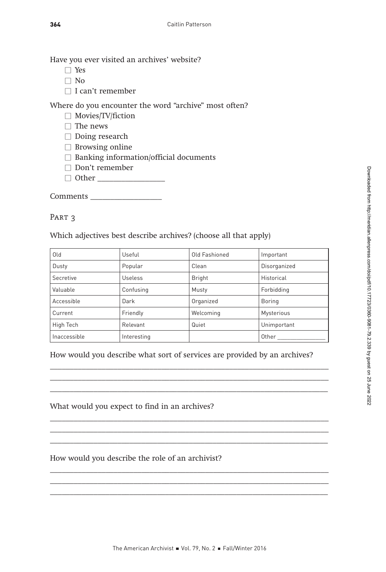How would you describe the role of an archivist?

What would you expect to find in an archives?

- □ Yes
- $\Box$  No
- $\Box$  I can't remember

Where do you encounter the word "archive" most often?

- $\Box$  Movies/TV/fiction
- $\square$  The news
- $\square$  Doing research
- $\Box$  Browsing online
- $\Box$  Banking information/official documents
- $\Box$  Don't remember
- Š Other \_\_\_\_\_\_\_\_\_\_\_\_\_\_\_\_\_

Comments \_\_\_\_\_\_\_\_\_\_\_\_\_\_\_\_\_\_

#### PART<sub>3</sub>

Which adjectives best describe archives? (choose all that apply)

| Old          | Useful      | Old Fashioned | Important    |
|--------------|-------------|---------------|--------------|
| Dusty        | Popular     | Clean         | Disorganized |
| Secretive    | Useless     | Bright        | Historical   |
| Valuable     | Confusing   | Musty         | Forbidding   |
| Accessible   | Dark        | Organized     | Boring       |
| Current      | Friendly    | Welcoming     | Mysterious   |
| High Tech    | Relevant    | Quiet         | Unimportant  |
| Inaccessible | Interesting |               | Other        |

#### How would you describe what sort of services are provided by an archives?

 $\overline{\phantom{a}}$  , and the contribution of the contribution of the contribution of  $\overline{\phantom{a}}$ \_\_\_\_\_\_\_\_\_\_\_\_\_\_\_\_\_\_\_\_\_\_\_\_\_\_\_\_\_\_\_\_\_\_\_\_\_\_\_\_\_\_\_\_\_\_\_\_\_\_\_\_\_\_\_\_\_\_\_\_\_\_\_\_\_\_\_\_\_\_  $\mathcal{L} = \{ \mathcal{L} \mid \mathcal{L} \in \mathcal{L} \}$ 

\_\_\_\_\_\_\_\_\_\_\_\_\_\_\_\_\_\_\_\_\_\_\_\_\_\_\_\_\_\_\_\_\_\_\_\_\_\_\_\_\_\_\_\_\_\_\_\_\_\_\_\_\_\_\_\_\_\_\_\_\_\_\_\_\_\_\_\_\_\_  $\overline{\phantom{a}}$  , and the contribution of the contribution of the contribution of the contribution of the contribution of the contribution of the contribution of the contribution of the contribution of the contribution of the

\_\_\_\_\_\_\_\_\_\_\_\_\_\_\_\_\_\_\_\_\_\_\_\_\_\_\_\_\_\_\_\_\_\_\_\_\_\_\_\_\_\_\_\_\_\_\_\_\_\_\_\_\_\_\_\_\_\_\_\_\_\_\_\_\_\_\_\_\_\_  $\overline{\phantom{a}}$  , and the contribution of the contribution of the contribution of  $\overline{\phantom{a}}$  $\overline{\phantom{a}}$  , and the contribution of the contribution of the contribution of the contribution of the contribution of the contribution of the contribution of the contribution of the contribution of the contribution of the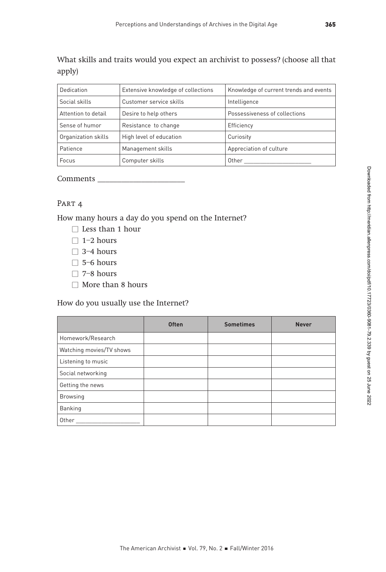What skills and traits would you expect an archivist to possess? (choose all that apply)

| Dedication          | Extensive knowledge of collections | Knowledge of current trends and events |
|---------------------|------------------------------------|----------------------------------------|
| Social skills       | Customer service skills            | Intelligence                           |
| Attention to detail | Desire to help others              | Possessiveness of collections          |
| Sense of humor      | Resistance to change               | Efficiency                             |
| Organization skills | High level of education            | Curiosity                              |
| Patience            | Management skills                  | Appreciation of culture                |
| Focus               | Computer skills                    | Other                                  |

Comments \_\_\_\_\_\_\_\_\_\_\_\_\_\_\_\_\_\_\_\_\_\_

## PART<sub>4</sub>

How many hours a day do you spend on the Internet?

- $\Box$  Less than 1 hour
- $\Box$  1–2 hours
- $\Box$  3–4 hours
- $\Box$  5–6 hours
- $\square$  7–8 hours
- $\Box$  More than 8 hours

How do you usually use the Internet?

|                          | <b>Often</b> | <b>Sometimes</b> | <b>Never</b> |
|--------------------------|--------------|------------------|--------------|
| Homework/Research        |              |                  |              |
| Watching movies/TV shows |              |                  |              |
| Listening to music       |              |                  |              |
| Social networking        |              |                  |              |
| Getting the news         |              |                  |              |
| <b>Browsing</b>          |              |                  |              |
| Banking                  |              |                  |              |
| Other                    |              |                  |              |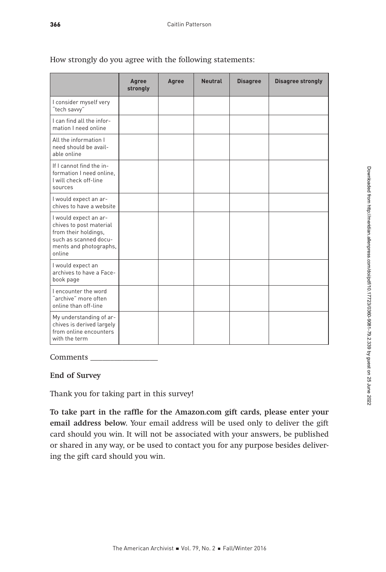|                                                                                                                                       | Agree<br>strongly | Agree | <b>Neutral</b> | <b>Disagree</b> | <b>Disagree strongly</b> |
|---------------------------------------------------------------------------------------------------------------------------------------|-------------------|-------|----------------|-----------------|--------------------------|
| I consider myself very<br>"tech savvy"                                                                                                |                   |       |                |                 |                          |
| I can find all the infor-<br>mation I need online                                                                                     |                   |       |                |                 |                          |
| All the information I<br>need should be avail-<br>able online                                                                         |                   |       |                |                 |                          |
| If I cannot find the in-<br>formation I need online.<br>I will check off-line<br>sources                                              |                   |       |                |                 |                          |
| I would expect an ar-<br>chives to have a website                                                                                     |                   |       |                |                 |                          |
| I would expect an ar-<br>chives to post material<br>from their holdings,<br>such as scanned docu-<br>ments and photographs,<br>online |                   |       |                |                 |                          |
| I would expect an<br>archives to have a Face-<br>book page                                                                            |                   |       |                |                 |                          |
| I encounter the word<br>archive" more often<br>online than off-line                                                                   |                   |       |                |                 |                          |
| My understanding of ar-<br>chives is derived largely<br>from online encounters<br>with the term                                       |                   |       |                |                 |                          |

How strongly do you agree with the following statements:

## Comments \_

#### End of Survey

Thank you for taking part in this survey!

To take part in the raffle for the Amazon.com gift cards, please enter your email address below. Your email address will be used only to deliver the gift card should you win. It will not be associated with your answers, be published or shared in any way, or be used to contact you for any purpose besides delivering the gift card should you win.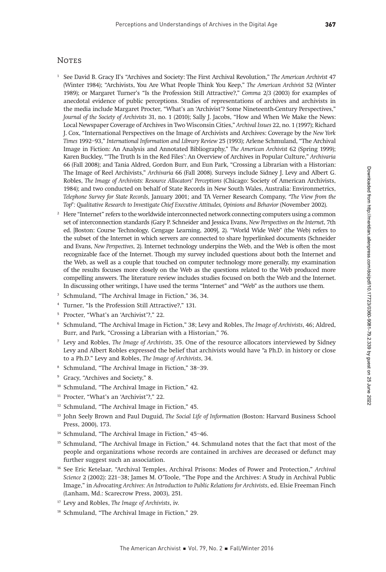#### **NOTES**

- <sup>1</sup> See David B. Gracy II's "Archives and Society: The First Archival Revolution," The American Archivist 47 (Winter 1984); "Archivists, You Are What People Think You Keep," The American Archivist 52 (Winter 1989); or Margaret Turner's "Is the Profession Still Attractive?," Comma 2/3 (2003) for examples of anecdotal evidence of public perceptions. Studies of representations of archives and archivists in the media include Margaret Procter, "What's an 'Archivist'? Some Nineteenth-Century Perspectives," Journal of the Society of Archivists 31, no. 1 (2010); Sally J. Jacobs, "How and When We Make the News: Local Newspaper Coverage of Archives in Two Wisconsin Cities," Archival Issues 22, no. 1 (1997); Richard J. Cox, "International Perspectives on the Image of Archivists and Archives: Coverage by the New York Times 1992–93," International Information and Library Review 25 (1993); Arlene Schmuland, "The Archival Image in Fiction: An Analysis and Annotated Bibliography," The American Archivist 62 (Spring 1999); Karen Buckley, "'The Truth Is in the Red Files': An Overview of Archives in Popular Culture," Archivaria 66 (Fall 2008); and Tania Aldred, Gordon Burr, and Eun Park, "Crossing a Librarian with a Historian: The Image of Reel Archivists," Archivaria 66 (Fall 2008). Surveys include Sidney J. Levy and Albert G. Robles, The Image of Archivists: Resource Allocators' Perceptions (Chicago: Society of American Archivists, 1984); and two conducted on behalf of State Records in New South Wales, Australia: Environmetrics, Telephone Survey for State Records, January 2001; and TA Verner Research Company, "The View from the Top": Qualitative Research to Investigate Chief Executive Attitudes, Opinions and Behavior (November 2002).
- $2<sup>2</sup>$  Here "Internet" refers to the worldwide interconnected network connecting computers using a common set of interconnection standards (Gary P. Schneider and Jessica Evans, New Perspectives on the Internet, 7th ed. [Boston: Course Technology, Cengage Learning, 2009], 2). "World Wide Web" (the Web) refers to the subset of the Internet in which servers are connected to share hyperlinked documents (Schneider and Evans, New Perspectives, 2). Internet technology underpins the Web, and the Web is often the most recognizable face of the Internet. Though my survey included questions about both the Internet and the Web, as well as a couple that touched on computer technology more generally, my examination of the results focuses more closely on the Web as the questions related to the Web produced more compelling answers. The literature review includes studies focused on both the Web and the Internet. In discussing other writings, I have used the terms "Internet" and "Web" as the authors use them.
- <sup>3</sup> Schmuland, "The Archival Image in Fiction," 36, 34.
- <sup>4</sup> Turner, "Is the Profession Still Attractive?," 131.
- <sup>5</sup> Procter, "What's an 'Archivist'?," 22.
- <sup>6</sup> Schmuland, "The Archival Image in Fiction," 38; Levy and Robles, The Image of Archivists, 46; Aldred, Burr, and Park, "Crossing a Librarian with a Historian," 76.
- $7$  Levy and Robles, The Image of Archivists, 35. One of the resource allocators interviewed by Sidney Levy and Albert Robles expressed the belief that archivists would have "a Ph.D. in history or close to a Ph.D." Levy and Robles, The Image of Archivists, 34.
- <sup>8</sup> Schmuland, "The Archival Image in Fiction," 38–39.
- <sup>9</sup> Gracy, "Archives and Society," 8.
- <sup>10</sup> Schmuland, "The Archival Image in Fiction," 42.
- <sup>11</sup> Procter, "What's an 'Archivist'?," 22.
- <sup>12</sup> Schmuland, "The Archival Image in Fiction," 45.
- <sup>13</sup> John Seely Brown and Paul Duguid, *The Social Life of Information* (Boston: Harvard Business School Press, 2000), 173.
- <sup>14</sup> Schmuland, "The Archival Image in Fiction," 45–46.
- <sup>15</sup> Schmuland, "The Archival Image in Fiction," 44. Schmuland notes that the fact that most of the people and organizations whose records are contained in archives are deceased or defunct may further suggest such an association.
- <sup>16</sup> See Eric Ketelaar, "Archival Temples, Archival Prisons: Modes of Power and Protection," Archival Science 2 (2002): 221–38; James M. O'Toole, "The Pope and the Archives: A Study in Archival Public Image," in Advocating Archives: An Introduction to Public Relations for Archivists, ed. Elsie Freeman Finch (Lanham, Md.: Scarecrow Press, 2003), 251.
- <sup>17</sup> Levy and Robles, The Image of Archivists, iv.
- <sup>18</sup> Schmuland, "The Archival Image in Fiction," 29.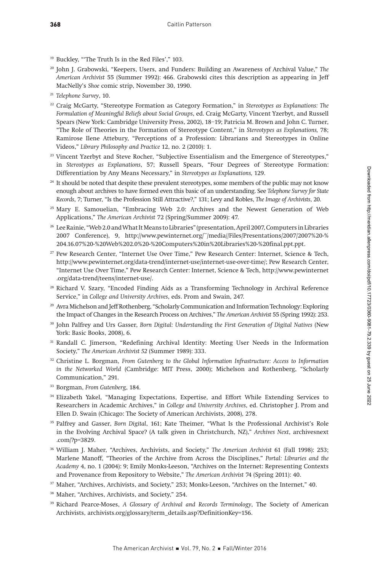- <sup>19</sup> Buckley, "'The Truth Is in the Red Files'," 103.
- <sup>20</sup> John J. Grabowski, "Keepers, Users, and Funders: Building an Awareness of Archival Value," The American Archivist 55 (Summer 1992): 466. Grabowski cites this description as appearing in Jeff MacNelly's Shoe comic strip, November 30, 1990.
- <sup>21</sup> Telephone Survey, 10.
- <sup>22</sup> Craig McGarty, "Stereotype Formation as Category Formation," in Stereotypes as Explanations: The Formulation of Meaningful Beliefs about Social Groups, ed. Craig McGarty, Vincent Yzerbyt, and Russell Spears (New York: Cambridge University Press, 2002), 18–19; Patricia M. Brown and John C. Turner, "The Role of Theories in the Formation of Stereotype Content," in Stereotypes as Explanations, 78; Ramirose Ilene Attebury, "Perceptions of a Profession: Librarians and Stereotypes in Online Videos," Library Philosophy and Practice 12, no. 2 (2010): 1.
- <sup>23</sup> Vincent Yzerbyt and Steve Rocher, "Subjective Essentialism and the Emergence of Stereotypes," in Stereotypes as Explanations, 57; Russell Spears, "Four Degrees of Stereotype Formation: Differentiation by Any Means Necessary," in Stereotypes as Explanations, 129.
- <sup>24</sup> It should be noted that despite these prevalent stereotypes, some members of the public may not know enough about archives to have formed even this basic of an understanding. See Telephone Survey for State Records, 7; Turner, "Is the Profession Still Attractive?," 131; Levy and Robles, The Image of Archivists, 20.
- <sup>25</sup> Mary E. Samouelian, "Embracing Web 2.0: Archives and the Newest Generation of Web Applications," The American Archivist 72 (Spring/Summer 2009): 47.
- <sup>26</sup> Lee Rainie, "Web 2.0 and What It Means to Libraries" (presentation, April 2007, Computers in Libraries 2007 Conference), 9, http://www.pewinternet.org/~/media//Files/Presentations/2007/2007%20-% 204.16.07%20-%20Web%202.0%20-%20Computers%20in%20Libraries%20-%20final.ppt.ppt.
- <sup>27</sup> Pew Research Center, "Internet Use Over Time," Pew Research Center: Internet, Science & Tech, http://www.pewinternet.org/data-trend/internet-use/internet-use-over-time/; Pew Research Center, "Internet Use Over Time," Pew Research Center: Internet, Science & Tech, http://www.pewinternet .org/data-trend/teens/internet-use/.
- <sup>28</sup> Richard V. Szary, "Encoded Finding Aids as a Transforming Technology in Archival Reference Service," in College and University Archives, eds. Prom and Swain, 247.
- <sup>29</sup> Avra Michelson and Jeff Rothenberg, "Scholarly Communication and Information Technology: Exploring the Impact of Changes in the Research Process on Archives," The American Archivist 55 (Spring 1992): 253.
- <sup>30</sup> John Palfrey and Urs Gasser, Born Digital: Understanding the First Generation of Digital Natives (New York: Basic Books, 2008), 6.
- <sup>31</sup> Randall C. Jimerson, "Redefining Archival Identity: Meeting User Needs in the Information Society," The American Archivist 52 (Summer 1989): 333.
- $32$  Christine L. Borgman, From Gutenberg to the Global Information Infrastructure: Access to Information in the Networked World (Cambridge: MIT Press, 2000); Michelson and Rothenberg, "Scholarly Communication," 291.
- <sup>33</sup> Borgman, From Gutenberg, 184.
- <sup>34</sup> Elizabeth Yakel, "Managing Expectations, Expertise, and Effort While Extending Services to Researchers in Academic Archives," in College and University Archives, ed. Christopher J. Prom and Ellen D. Swain (Chicago: The Society of American Archivists, 2008), 278.
- <sup>35</sup> Palfrey and Gasser, Born Digital, 161; Kate Theimer, "What Is the Professional Archivist's Role in the Evolving Archival Space? (A talk given in Christchurch, NZ)," Archives Next, archivesnext .com/?p=3829.
- <sup>36</sup> William J. Maher, "Archives, Archivists, and Society," The American Archivist 61 (Fall 1998): 253; Marlene Manoff, "Theories of the Archive from Across the Disciplines," Portal: Libraries and the Academy 4, no. 1 (2004): 9; Emily Monks-Leeson, "Archives on the Internet: Representing Contexts and Provenance from Repository to Website," The American Archivist 74 (Spring 2011): 40.
- <sup>37</sup> Maher, "Archives, Archivists, and Society," 253; Monks-Leeson, "Archives on the Internet," 40.
- <sup>38</sup> Maher, "Archives, Archivists, and Society," 254.
- <sup>39</sup> Richard Pearce-Moses, A Glossary of Archival and Records Terminology, The Society of American Archivists, archivists.org/glossary/term\_details.asp?DefinitionKey=156.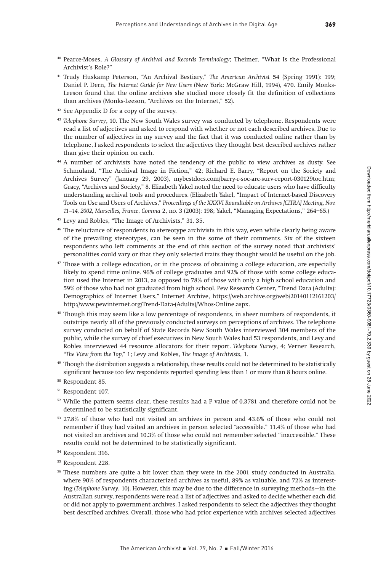- <sup>40</sup> Pearce-Moses, A Glossary of Archival and Records Terminology; Theimer, "What Is the Professional Archivist's Role?"
- <sup>41</sup> Trudy Huskamp Peterson, "An Archival Bestiary," The American Archivist 54 (Spring 1991): 199; Daniel P. Dern, The Internet Guide for New Users (New York: McGraw Hill, 1994), 470. Emily Monks-Leeson found that the online archives she studied more closely fit the definition of collections than archives (Monks-Leeson, "Archives on the Internet," 52).
- <sup>42</sup> See Appendix D for a copy of the survey.
- <sup>43</sup> Telephone Survey, 10. The New South Wales survey was conducted by telephone. Respondents were read a list of adjectives and asked to respond with whether or not each described archives. Due to the number of adjectives in my survey and the fact that it was conducted online rather than by telephone, I asked respondents to select the adjectives they thought best described archives rather than give their opinion on each.
- <sup>44</sup> A number of archivists have noted the tendency of the public to view archives as dusty. See Schmuland, "The Archival Image in Fiction," 42; Richard E. Barry, "Report on the Society and Archives Survey" (January 29, 2003), mybestdocs.com/barry-r-soc-arc-surv-report-030129toc.htm; Gracy, "Archives and Society," 8. Elizabeth Yakel noted the need to educate users who have difficulty understanding archival tools and procedures. (Elizabeth Yakel, "Impact of Internet-based Discovery Tools on Use and Users of Archives," Proceedings of the XXXVI Roundtable on Archives [CITRA] Meeting, Nov. 11–14, 2002, Marseilles, France, Comma 2, no. 3 (2003): 198; Yakel, "Managing Expectations," 264–65.)
- <sup>45</sup> Levy and Robles, "The Image of Archivists," 31, 35.
- <sup>46</sup> The reluctance of respondents to stereotype archivists in this way, even while clearly being aware of the prevailing stereotypes, can be seen in the some of their comments. Six of the sixteen respondents who left comments at the end of this section of the survey noted that archivists' personalities could vary or that they only selected traits they thought would be useful on the job.
- $47$  Those with a college education, or in the process of obtaining a college education, are especially likely to spend time online. 96% of college graduates and 92% of those with some college education used the Internet in 2013, as opposed to 78% of those with only a high school education and 59% of those who had not graduated from high school. Pew Research Center, "Trend Data (Adults): Demographics of Internet Users," Internet Archive, https://web.archive.org/web/20140112161203/ http://www.pewinternet.org/Trend-Data-(Adults)/Whos-Online.aspx.
- <sup>48</sup> Though this may seem like a low percentage of respondents, in sheer numbers of respondents, it outstrips nearly all of the previously conducted surveys on perceptions of archives. The telephone survey conducted on behalf of State Records New South Wales interviewed 304 members of the public, while the survey of chief executives in New South Wales had 53 respondents, and Levy and Robles interviewed 44 resource allocators for their report. Telephone Survey, 4; Verner Research, "The View from the Top," 1; Levy and Robles, The Image of Archivists, 1.
- <sup>49</sup> Though the distribution suggests a relationship, these results could not be determined to be statistically significant because too few respondents reported spending less than 1 or more than 8 hours online.
- <sup>50</sup> Respondent 85.
- <sup>51</sup> Respondent 107.
- <sup>52</sup> While the pattern seems clear, these results had a P value of 0.3781 and therefore could not be determined to be statistically significant.
- <sup>53</sup> 27.8% of those who had not visited an archives in person and 43.6% of those who could not remember if they had visited an archives in person selected "accessible." 11.4% of those who had not visited an archives and 10.3% of those who could not remember selected "inaccessible." These results could not be determined to be statistically significant.
- <sup>54</sup> Respondent 316.
- <sup>55</sup> Respondent 228.
- <sup>56</sup> These numbers are quite a bit lower than they were in the 2001 study conducted in Australia, where 90% of respondents characterized archives as useful, 89% as valuable, and 72% as interesting (Telephone Survey, 10). However, this may be due to the difference in surveying methods—in the Australian survey, respondents were read a list of adjectives and asked to decide whether each did or did not apply to government archives. I asked respondents to select the adjectives they thought best described archives. Overall, those who had prior experience with archives selected adjectives